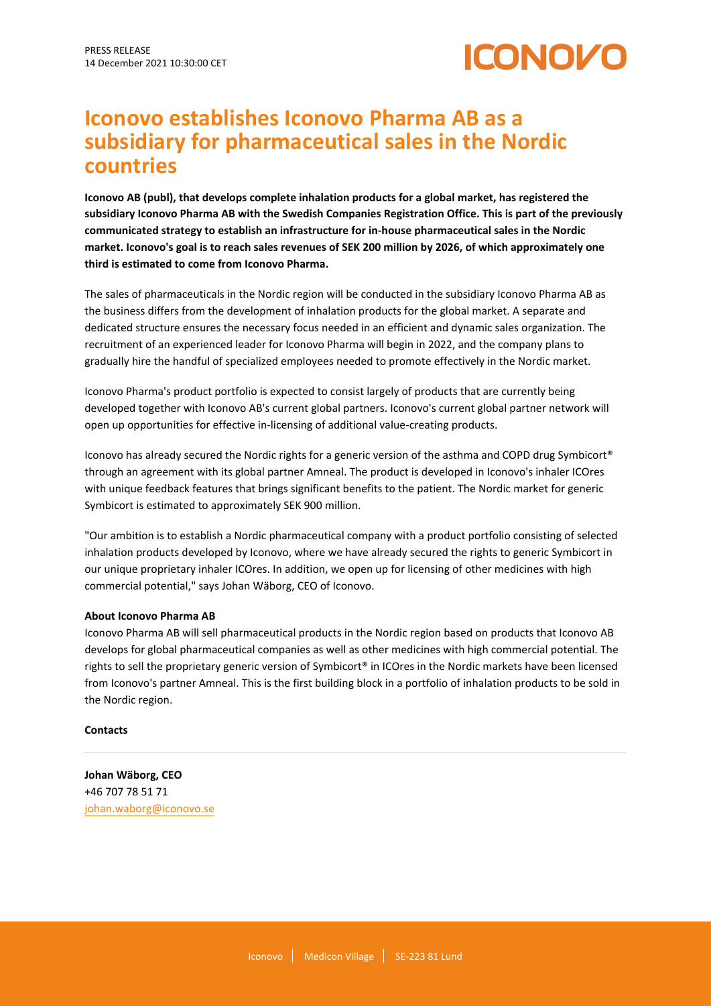

# **Iconovo establishes Iconovo Pharma AB as a subsidiary for pharmaceutical sales in the Nordic countries**

**Iconovo AB (publ), that develops complete inhalation products for a global market, has registered the subsidiary Iconovo Pharma AB with the Swedish Companies Registration Office. This is part of the previously communicated strategy to establish an infrastructure for in-house pharmaceutical sales in the Nordic market. Iconovo's goal is to reach sales revenues of SEK 200 million by 2026, of which approximately one third is estimated to come from Iconovo Pharma.**

The sales of pharmaceuticals in the Nordic region will be conducted in the subsidiary Iconovo Pharma AB as the business differs from the development of inhalation products for the global market. A separate and dedicated structure ensures the necessary focus needed in an efficient and dynamic sales organization. The recruitment of an experienced leader for Iconovo Pharma will begin in 2022, and the company plans to gradually hire the handful of specialized employees needed to promote effectively in the Nordic market.

Iconovo Pharma's product portfolio is expected to consist largely of products that are currently being developed together with Iconovo AB's current global partners. Iconovo's current global partner network will open up opportunities for effective in-licensing of additional value-creating products.

Iconovo has already secured the Nordic rights for a generic version of the asthma and COPD drug Symbicort® through an agreement with its global partner Amneal. The product is developed in Iconovo's inhaler ICOres with unique feedback features that brings significant benefits to the patient. The Nordic market for generic Symbicort is estimated to approximately SEK 900 million.

"Our ambition is to establish a Nordic pharmaceutical company with a product portfolio consisting of selected inhalation products developed by Iconovo, where we have already secured the rights to generic Symbicort in our unique proprietary inhaler ICOres. In addition, we open up for licensing of other medicines with high commercial potential," says Johan Wäborg, CEO of Iconovo.

# **About Iconovo Pharma AB**

Iconovo Pharma AB will sell pharmaceutical products in the Nordic region based on products that Iconovo AB develops for global pharmaceutical companies as well as other medicines with high commercial potential. The rights to sell the proprietary generic version of Symbicort® in ICOres in the Nordic markets have been licensed from Iconovo's partner Amneal. This is the first building block in a portfolio of inhalation products to be sold in the Nordic region.

# **Contacts**

**Johan Wäborg, CEO** +46 707 78 51 71 [johan.waborg@iconovo.se](mailto:johan.waborg@iconovo.se)